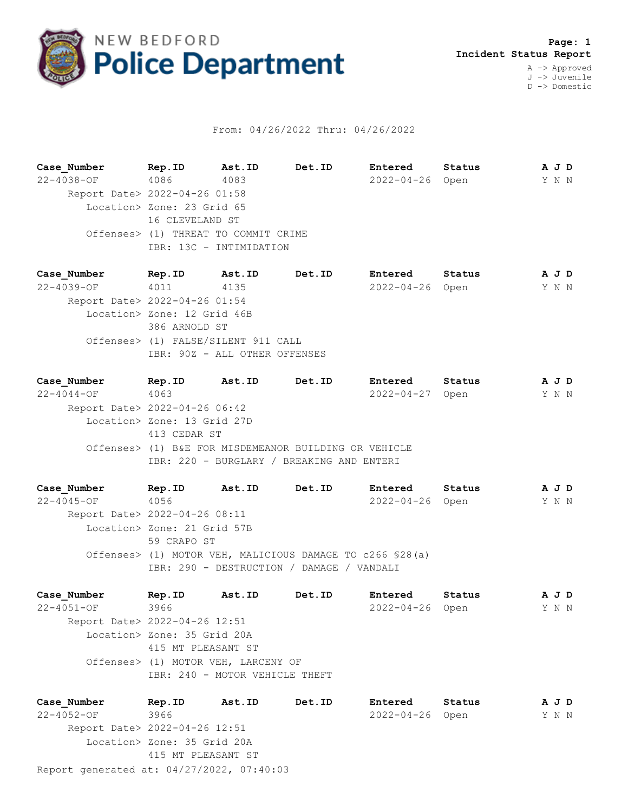

## From: 04/26/2022 Thru: 04/26/2022

**Case\_Number Rep.ID Ast.ID Det.ID Entered Status A J D** 22-4038-OF 4086 4083 2022-04-26 Open Y N N Report Date> 2022-04-26 01:58 Location> Zone: 23 Grid 65 16 CLEVELAND ST Offenses> (1) THREAT TO COMMIT CRIME IBR: 13C - INTIMIDATION

**Case\_Number Rep.ID Ast.ID Det.ID Entered Status A J D** 22-4039-OF 4011 4135 2022-04-26 Open Y N N Report Date> 2022-04-26 01:54 Location> Zone: 12 Grid 46B 386 ARNOLD ST Offenses> (1) FALSE/SILENT 911 CALL IBR: 90Z - ALL OTHER OFFENSES

**Case\_Number Rep.ID Ast.ID Det.ID Entered Status A J D** 22-4044-OF 4063 2022-04-27 Open Y N N Report Date> 2022-04-26 06:42 Location> Zone: 13 Grid 27D 413 CEDAR ST Offenses> (1) B&E FOR MISDEMEANOR BUILDING OR VEHICLE IBR: 220 - BURGLARY / BREAKING AND ENTERI

**Case\_Number Rep.ID Ast.ID Det.ID Entered Status A J D** 22-4045-OF 4056 2022-04-26 Open Y N N Report Date> 2022-04-26 08:11 Location> Zone: 21 Grid 57B 59 CRAPO ST Offenses> (1) MOTOR VEH, MALICIOUS DAMAGE TO c266 §28(a) IBR: 290 - DESTRUCTION / DAMAGE / VANDALI

**Case\_Number Rep.ID Ast.ID Det.ID Entered Status A J D** 22-4051-OF 3966 2022-04-26 Open Y N N Report Date> 2022-04-26 12:51 Location> Zone: 35 Grid 20A 415 MT PLEASANT ST Offenses> (1) MOTOR VEH, LARCENY OF IBR: 240 - MOTOR VEHICLE THEFT

Report generated at: 04/27/2022, 07:40:03 **Case\_Number Rep.ID Ast.ID Det.ID Entered Status A J D** 22-4052-OF 3966 2022-04-26 Open Y N N Report Date> 2022-04-26 12:51 Location> Zone: 35 Grid 20A 415 MT PLEASANT ST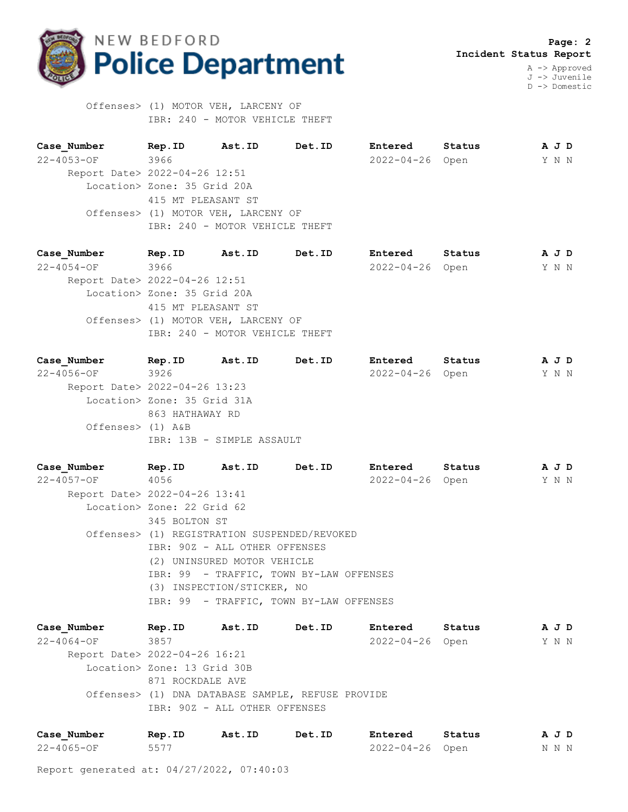

D -> Domestic

 Offenses> (1) MOTOR VEH, LARCENY OF IBR: 240 - MOTOR VEHICLE THEFT

**Case\_Number Rep.ID Ast.ID Det.ID Entered Status A J D** 22-4053-OF 3966 2022-04-26 Open Y N N Report Date> 2022-04-26 12:51 Location> Zone: 35 Grid 20A 415 MT PLEASANT ST Offenses> (1) MOTOR VEH, LARCENY OF IBR: 240 - MOTOR VEHICLE THEFT

| Case Number                   | Rep.ID                      | Ast.ID                              | Det.ID | Entered               | Status | A J D |  |
|-------------------------------|-----------------------------|-------------------------------------|--------|-----------------------|--------|-------|--|
| $22 - 4054 - OF$              | 3966                        |                                     |        | $2022 - 04 - 26$ Open |        | Y N N |  |
| Report Date> 2022-04-26 12:51 |                             |                                     |        |                       |        |       |  |
|                               | Location> Zone: 35 Grid 20A |                                     |        |                       |        |       |  |
|                               | 415 MT PLEASANT ST          |                                     |        |                       |        |       |  |
|                               |                             | Offenses> (1) MOTOR VEH, LARCENY OF |        |                       |        |       |  |
|                               |                             | IBR: 240 - MOTOR VEHICLE THEFT      |        |                       |        |       |  |
|                               |                             |                                     |        |                       |        |       |  |

| Case Number                   | Rep.ID                      | Ast.ID                    | Det.ID | Entered         | Status |  | A J D |
|-------------------------------|-----------------------------|---------------------------|--------|-----------------|--------|--|-------|
| $22 - 4056 - OF$              | 3926                        |                           |        | 2022-04-26 Open |        |  | Y N N |
| Report Date> 2022-04-26 13:23 |                             |                           |        |                 |        |  |       |
|                               | Location> Zone: 35 Grid 31A |                           |        |                 |        |  |       |
|                               | 863 HATHAWAY RD             |                           |        |                 |        |  |       |
| Offenses> (1) A&B             |                             |                           |        |                 |        |  |       |
|                               |                             | IBR: 13B - SIMPLE ASSAULT |        |                 |        |  |       |
|                               |                             |                           |        |                 |        |  |       |

**Case\_Number Rep.ID Ast.ID Det.ID Entered Status A J D** 22-4057-OF 4056 2022-04-26 Open Y N N Report Date> 2022-04-26 13:41 Location> Zone: 22 Grid 62 345 BOLTON ST Offenses> (1) REGISTRATION SUSPENDED/REVOKED IBR: 90Z - ALL OTHER OFFENSES (2) UNINSURED MOTOR VEHICLE IBR: 99 - TRAFFIC, TOWN BY-LAW OFFENSES (3) INSPECTION/STICKER, NO IBR: 99 - TRAFFIC, TOWN BY-LAW OFFENSES

**Case\_Number Rep.ID Ast.ID Det.ID Entered Status A J D** 22-4064-OF 3857 2022-04-26 Open Y N N Report Date> 2022-04-26 16:21 Location> Zone: 13 Grid 30B 871 ROCKDALE AVE Offenses> (1) DNA DATABASE SAMPLE, REFUSE PROVIDE IBR: 90Z - ALL OTHER OFFENSES

| Case Number      | Rep.ID | Ast.ID | Det.ID | <b>Entered</b>  | Status | A J D |  |
|------------------|--------|--------|--------|-----------------|--------|-------|--|
| $22 - 4065 - OF$ | 5577   |        |        | 2022-04-26 Open |        | N N N |  |